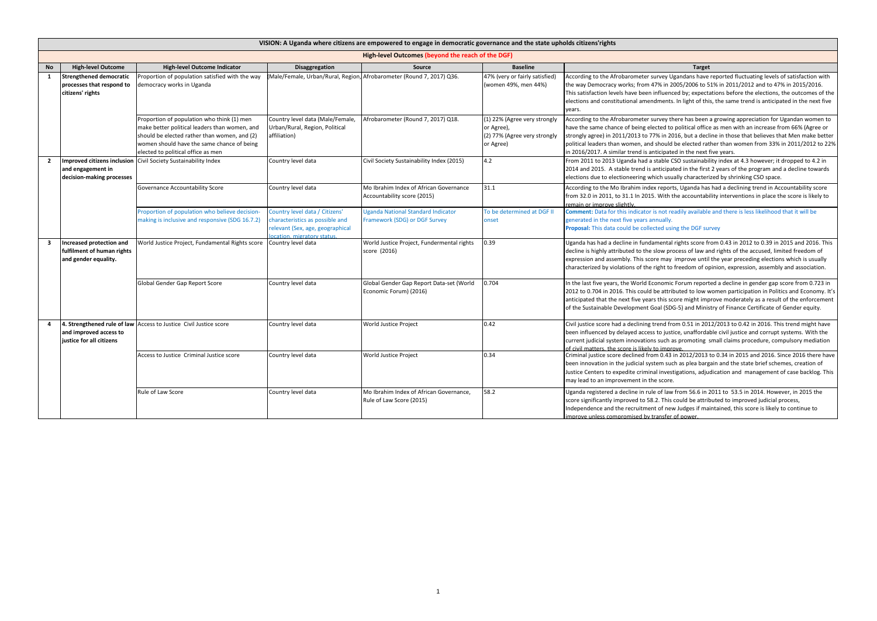|                         | VISION: A Uganda where citizens are empowered to engage in democratic governance and the state upholds citizens rights |                                                                                                                                                                                                                                 |                                                                                                                                     |                                                                            |                                                                                         |                                                                                                                                                                                                                                                                                                                                                                                                                                                                                                  |  |  |
|-------------------------|------------------------------------------------------------------------------------------------------------------------|---------------------------------------------------------------------------------------------------------------------------------------------------------------------------------------------------------------------------------|-------------------------------------------------------------------------------------------------------------------------------------|----------------------------------------------------------------------------|-----------------------------------------------------------------------------------------|--------------------------------------------------------------------------------------------------------------------------------------------------------------------------------------------------------------------------------------------------------------------------------------------------------------------------------------------------------------------------------------------------------------------------------------------------------------------------------------------------|--|--|
|                         | High-level Outcomes (beyond the reach of the DGF)                                                                      |                                                                                                                                                                                                                                 |                                                                                                                                     |                                                                            |                                                                                         |                                                                                                                                                                                                                                                                                                                                                                                                                                                                                                  |  |  |
| <b>No</b>               | <b>High-level Outcome</b>                                                                                              | <b>High-level Outcome Indicator</b>                                                                                                                                                                                             | Disaggregation                                                                                                                      | Source                                                                     | <b>Baseline</b>                                                                         | <b>Target</b>                                                                                                                                                                                                                                                                                                                                                                                                                                                                                    |  |  |
| <b>1</b>                | Strengthened democratic<br>processes that respond to<br>citizens' rights                                               | Proportion of population satisfied with the way<br>lemocracy works in Uganda                                                                                                                                                    | Male/Female, Urban/Rural, Region,                                                                                                   | Afrobarometer (Round 7, 2017) Q36.                                         | 47% (very or fairly satisfied)<br>(women 49%, men 44%)                                  | According to the Afrobarometer survey Ugandans have reported fluctuating levels of satisfaction with<br>the way Democracy works; from 47% in 2005/2006 to 51% in 2011/2012 and to 47% in 2015/2016.<br>This satisfaction levels have been influenced by; expectations before the elections, the outcomes of the<br>elections and constitutional amendments. In light of this, the same trend is anticipated in the next five<br>years.                                                           |  |  |
|                         |                                                                                                                        | Proportion of population who think (1) men<br>make better political leaders than women, and<br>should be elected rather than women, and (2)<br>women should have the same chance of being<br>elected to political office as men | Country level data (Male/Female,<br>Urban/Rural, Region, Political<br>affiliation)                                                  | Afrobarometer (Round 7, 2017) Q18.                                         | (1) 22% (Agree very strongly<br>or Agree),<br>(2) 77% (Agree very strongly<br>or Agree) | According to the Afrobarometer survey there has been a growing appreciation for Ugandan women to<br>have the same chance of being elected to political office as men with an increase from 66% (Agree or<br>strongly agree) in 2011/2013 to 77% in 2016, but a decline in those that believes that Men make better<br>political leaders than women, and should be elected rather than women from 33% in 2011/2012 to 22%<br>in 2016/2017. A similar trend is anticipated in the next five years. |  |  |
| $\overline{2}$          | <b>Improved citizens inclusion</b><br>and engagement in<br>decision-making processes                                   | Civil Society Sustainability Index                                                                                                                                                                                              | Country level data                                                                                                                  | Civil Society Sustainability Index (2015)                                  | 4.2                                                                                     | From 2011 to 2013 Uganda had a stable CSO sustainability index at 4.3 however; it dropped to 4.2 in<br>2014 and 2015. A stable trend is anticipated in the first 2 years of the program and a decline towards<br>elections due to electioneering which usually characterized by shrinking CSO space.                                                                                                                                                                                             |  |  |
|                         |                                                                                                                        | Governance Accountability Score                                                                                                                                                                                                 | Country level data                                                                                                                  | Mo Ibrahim Index of African Governance<br>Accountability score (2015)      | 31.1                                                                                    | According to the Mo Ibrahim index reports, Uganda has had a declining trend in Accountability score<br>from 32.0 in 2011, to 31.1 In 2015. With the accountability interventions in place the score is likely to<br>emain or improve slightly.                                                                                                                                                                                                                                                   |  |  |
|                         |                                                                                                                        | Proportion of population who believe decision-<br>making is inclusive and responsive (SDG 16.7.2)                                                                                                                               | Country level data / Citizens'<br>characteristics as possible and<br>relevant (Sex, age, geographical<br>ocation, migratory status. | <b>Jeanda National Standard Indicator</b><br>Framework (SDG) or DGF Survey | To be determined at DGF II<br>onset                                                     | Comment: Data for this indicator is not readily available and there is less likelihood that it will be<br>generated in the next five years annually.<br>Proposal: This data could be collected using the DGF survey                                                                                                                                                                                                                                                                              |  |  |
| $\overline{\mathbf{3}}$ | Increased protection and<br>fulfilment of human rights<br>and gender equality.                                         | World Justice Project, Fundamental Rights score                                                                                                                                                                                 | Country level data                                                                                                                  | World Justice Project, Fundermental rights<br>score (2016)                 | 0.39                                                                                    | Uganda has had a decline in fundamental rights score from 0.43 in 2012 to 0.39 in 2015 and 2016. This<br>decline is highly attributed to the slow process of law and rights of the accused, limited freedom of<br>expression and assembly. This score may improve until the year preceding elections which is usually<br>characterized by violations of the right to freedom of opinion, expression, assembly and association.                                                                   |  |  |
|                         |                                                                                                                        | Global Gender Gap Report Score                                                                                                                                                                                                  | Country level data                                                                                                                  | Global Gender Gap Report Data-set (World<br>Economic Forum) (2016)         | 0.704                                                                                   | In the last five years, the World Economic Forum reported a decline in gender gap score from 0.723 in<br>2012 to 0.704 in 2016. This could be attributed to low women participation in Politics and Economy. It's<br>anticipated that the next five years this score might improve moderately as a result of the enforcement<br>of the Sustainable Development Goal (SDG-5) and Ministry of Finance Certificate of Gender equity.                                                                |  |  |
| 4                       | and improved access to<br>justice for all citizens                                                                     | 4. Strengthened rule of law Access to Justice Civil Justice score                                                                                                                                                               | Country level data                                                                                                                  | World Justice Project                                                      | 0.42                                                                                    | Civil justice score had a declining trend from 0.51 in 2012/2013 to 0.42 in 2016. This trend might have<br>been influenced by delayed access to justice, unaffordable civil justice and corrupt systems. With the<br>current judicial system innovations such as promoting small claims procedure, compulsory mediation<br>of civil matters, the score is likely to improve.                                                                                                                     |  |  |
|                         |                                                                                                                        | Access to Justice Criminal Justice score                                                                                                                                                                                        | Country level data                                                                                                                  | World Justice Project                                                      | 0.34                                                                                    | Criminal justice score declined from 0.43 in 2012/2013 to 0.34 in 2015 and 2016. Since 2016 there have<br>been innovation in the judicial system such as plea bargain and the state brief schemes, creation of<br>Justice Centers to expedite criminal investigations, adjudication and management of case backlog. This<br>may lead to an improvement in the score.                                                                                                                             |  |  |
|                         |                                                                                                                        | Rule of Law Score                                                                                                                                                                                                               | Country level data                                                                                                                  | Mo Ibrahim Index of African Governance.<br>Rule of Law Score (2015)        | 58.2                                                                                    | Uganda registered a decline in rule of law from 56.6 in 2011 to 53.5 in 2014. However, in 2015 the<br>score significantly improved to 58.2. This could be attributed to improved judicial process,<br>Independence and the recruitment of new Judges if maintained, this score is likely to continue to<br>mprove unless compromised by transfer of power.                                                                                                                                       |  |  |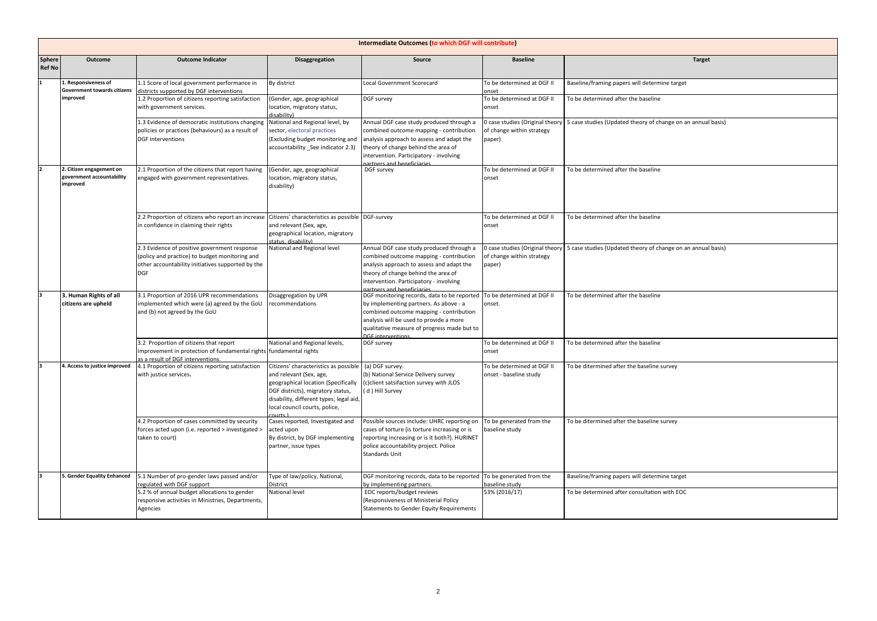|                         | <b>Intermediate Outcomes (to which DGF will contribute)</b>       |                                                                                                                                                                   |                                                                                                                                                                                                                          |                                                                                                                                                                                                                                                     |                                                                        |                                                                                                |  |
|-------------------------|-------------------------------------------------------------------|-------------------------------------------------------------------------------------------------------------------------------------------------------------------|--------------------------------------------------------------------------------------------------------------------------------------------------------------------------------------------------------------------------|-----------------------------------------------------------------------------------------------------------------------------------------------------------------------------------------------------------------------------------------------------|------------------------------------------------------------------------|------------------------------------------------------------------------------------------------|--|
| Sphere<br><b>Ref No</b> | Outcome                                                           | <b>Outcome Indicator</b>                                                                                                                                          | <b>Disaggregation</b>                                                                                                                                                                                                    | Source                                                                                                                                                                                                                                              | <b>Baseline</b>                                                        | <b>Target</b>                                                                                  |  |
|                         | 1. Responsiveness of<br><b>Government towards citizens</b>        | 1.1 Score of local government performance in<br>districts supported by DGF interventions                                                                          | By district                                                                                                                                                                                                              | <b>Local Government Scorecard</b>                                                                                                                                                                                                                   | To be determined at DGF II<br>onset                                    | Baseline/framing papers will determine target                                                  |  |
|                         | improved                                                          | 1.2 Proportion of citizens reporting satisfaction<br>with government services.                                                                                    | (Gender, age, geographical<br>location, migratory status,<br>disability)                                                                                                                                                 | DGF survey                                                                                                                                                                                                                                          | To be determined at DGF II<br>onset                                    | To be determined after the baseline                                                            |  |
|                         |                                                                   | 1.3 Evidence of democratic institutions changing<br>policies or practices (behaviours) as a result of<br>DGF interventions                                        | National and Regional level, by<br>sector, electoral practices<br>(Excluding budget monitoring and<br>accountability See indicator 2.3)                                                                                  | Annual DGF case study produced through a<br>combined outcome mapping - contribution<br>analysis approach to assess and adapt the<br>theory of change behind the area of<br>intervention. Participatory - involving<br>partners and beneficiaries    | 0 case studies (Original theory<br>of change within strategy<br>paper) | 5 case studies (Updated theory of change on an annual basis)                                   |  |
| 2                       | 2. Citizen engagement on<br>government accountability<br>improved | 2.1 Proportion of the citizens that report having<br>engaged with government representatives.                                                                     | (Gender, age, geographical<br>location, migratory status,<br>disability)                                                                                                                                                 | DGF survey                                                                                                                                                                                                                                          | To be determined at DGF II<br>onset                                    | To be determined after the baseline                                                            |  |
|                         |                                                                   | 2.2 Proportion of citizens who report an increase Citizens' characteristics as possible DGF-survey<br>in confidence in claiming their rights                      | and relevant (Sex, age,<br>geographical location, migratory<br>status, disability)                                                                                                                                       |                                                                                                                                                                                                                                                     | To be determined at DGF II<br>onset                                    | To be determined after the baseline                                                            |  |
|                         |                                                                   | 2.3 Evidence of positive government response<br>(policy and practice) to budget monitoring and<br>other accountability initiatives supported by the<br><b>DGF</b> | National and Regional level                                                                                                                                                                                              | Annual DGF case study produced through a<br>combined outcome mapping - contribution<br>analysis approach to assess and adapt the<br>theory of change behind the area of<br>intervention. Participatory - involving<br>partners and beneficiaries    | of change within strategy<br>paper)                                    | O case studies (Original theory   5 case studies (Updated theory of change on an annual basis) |  |
|                         | 3. Human Rights of all<br>citizens are upheld                     | 3.1 Proportion of 2016 UPR recommendations<br>implemented which were (a) agreed by the GoU<br>and (b) not agreed by the GoU                                       | Disaggregation by UPR<br>recommendations                                                                                                                                                                                 | DGF monitoring records, data to be reported<br>by implementing partners. As above - a<br>combined outcome mapping - contribution<br>analysis will be used to provide a more<br>qualitative measure of progress made but to<br><b>DGE</b> interventi | To be determined at DGF II<br>onset.                                   | To be determined after the baseline                                                            |  |
|                         |                                                                   | 3.2 Proportion of citizens that report<br>improvement in protection of fundamental rights fundamental rights<br>as a result of DGF interventions.                 | National and Regional levels,                                                                                                                                                                                            | DGF survey                                                                                                                                                                                                                                          | To be determined at DGF II<br>onset                                    | To be determined after the baseline                                                            |  |
|                         | 4. Access to justice improved                                     | 4.1 Proportion of citizens reporting satisfaction<br>with justice services.                                                                                       | Citizens' characteristics as possible<br>and relevant (Sex, age,<br>geographical location (Specifically<br>DGF districts), migratory status,<br>disability, different types; legal aid,<br>local council courts, police, | (a) DGF survey.<br>(b) National Service Delivery survey<br>(c)client satsifaction survey with JLOS<br>(d) Hill Survey                                                                                                                               | To be determined at DGF II<br>onset - baseline study                   | To be ditermined after the baseline survey                                                     |  |
|                         |                                                                   | 4.2 Proportion of cases committed by security<br>forces acted upon (i.e. reported > investigated ><br>taken to court)                                             | Cases reported, Investigated and<br>acted upon<br>By district, by DGF implementing<br>partner, issue types                                                                                                               | Possible sources include: UHRC reporting on<br>cases of torture (is torture increasing or is<br>reporting increasing or is it both?). HURINET<br>police accountability project. Police<br>Standards Unit                                            | To be generated from the<br>baseline study                             | To be ditermined after the baseline survey                                                     |  |
|                         | 5. Gender Equality Enhanced                                       | 5.1 Number of pro-gender laws passed and/or<br>regulated with DGF support                                                                                         | Type of law/policy, National,<br>District                                                                                                                                                                                | DGF monitoring records, data to be reported To be generated from the<br>by implementing partners.                                                                                                                                                   | baseline study                                                         | Baseline/framing papers will determine target                                                  |  |
|                         |                                                                   | 5.2 % of annual budget allocations to gender<br>responsive activities in Ministries, Departments,<br>Agencies                                                     | National level                                                                                                                                                                                                           | EOC reports/budget reviews<br>(Responsiveness of Ministerial Policy<br><b>Statements to Gender Equity Requirements</b>                                                                                                                              | 53% (2016/17)                                                          | To be determined after consultation with EOC                                                   |  |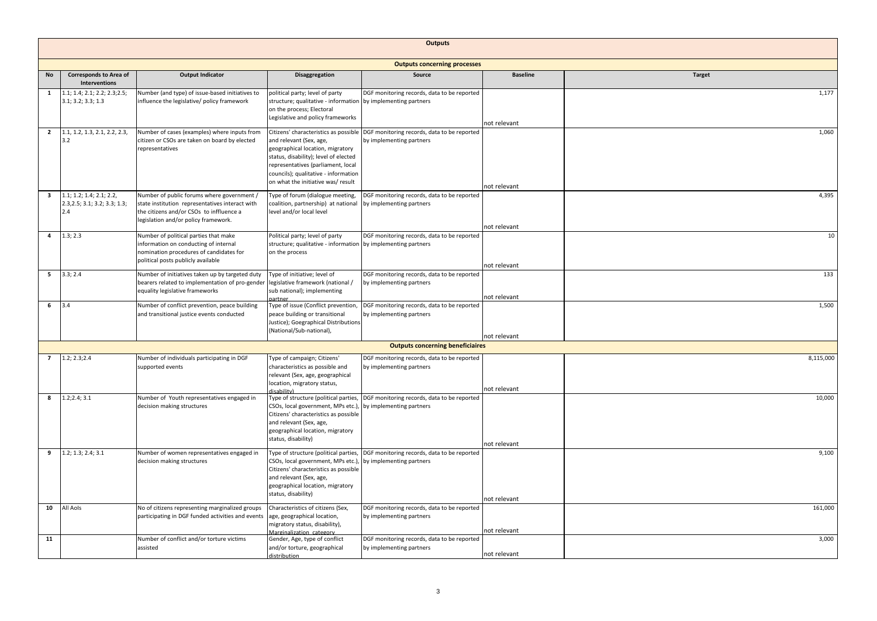|                         | <b>Outputs</b>                                                   |                                                                                                                                                                                   |                                                                                                                                                                                                                         |                                                                                                               |                 |               |  |
|-------------------------|------------------------------------------------------------------|-----------------------------------------------------------------------------------------------------------------------------------------------------------------------------------|-------------------------------------------------------------------------------------------------------------------------------------------------------------------------------------------------------------------------|---------------------------------------------------------------------------------------------------------------|-----------------|---------------|--|
|                         | <b>Outputs concerning processes</b>                              |                                                                                                                                                                                   |                                                                                                                                                                                                                         |                                                                                                               |                 |               |  |
| No                      | <b>Corresponds to Area of</b><br><b>Interventions</b>            | <b>Output Indicator</b>                                                                                                                                                           | <b>Disaggregation</b>                                                                                                                                                                                                   | Source                                                                                                        | <b>Baseline</b> | <b>Target</b> |  |
| $\mathbf{1}$            | 1.1; 1.4; 2.1; 2.2; 2.3; 2.5;<br>3.1; 3.2; 3.3; 1.3              | Number (and type) of issue-based initiatives to<br>influence the legislative/ policy framework                                                                                    | political party; level of party<br>structure; qualitative - information by implementing partners<br>on the process; Electoral<br>Legislative and policy frameworks                                                      | DGF monitoring records, data to be reported                                                                   | not relevant    | 1,177         |  |
| $\overline{2}$          | 1.1, 1.2, 1.3, 2.1, 2.2, 2.3,<br>3.2                             | Number of cases (examples) where inputs from<br>citizen or CSOs are taken on board by elected<br>epresentatives                                                                   | and relevant (Sex, age,<br>geographical location, migratory<br>status, disability); level of elected<br>representatives (parliament, local<br>councils); qualitative - information<br>on what the initiative was/result | Citizens' characteristics as possible DGF monitoring records, data to be reported<br>by implementing partners | not relevant    | 1,060         |  |
| $\overline{\mathbf{3}}$ | 1.1; 1.2; 1.4; 2.1; 2.2,<br>2.3, 2.5; 3.1; 3.2; 3.3; 1.3;<br>2.4 | Number of public forums where government /<br>state institution representatives interact with<br>the citizens and/or CSOs to inffluence a<br>legislation and/or policy framework. | Type of forum (dialogue meeting,<br>coalition, partnership) at national<br>level and/or local level                                                                                                                     | DGF monitoring records, data to be reported<br>by implementing partners                                       | not relevant    | 4,395         |  |
| $\overline{a}$          | 1.3; 2.3                                                         | Number of political parties that make<br>nformation on conducting of internal<br>nomination procedures of candidates for<br>political posts publicly available                    | Political party; level of party<br>structure; qualitative - information by implementing partners<br>on the process                                                                                                      | DGF monitoring records, data to be reported                                                                   | not relevant    | 10            |  |
| 5                       | 3.3; 2.4                                                         | Number of initiatives taken up by targeted duty<br>bearers related to implementation of pro-gender<br>equality legislative frameworks                                             | Type of initiative; level of<br>legislative framework (national /<br>sub national); implementing<br>partner                                                                                                             | DGF monitoring records, data to be reported<br>by implementing partners                                       | not relevant    | 133           |  |
| 6                       | 3.4                                                              | Number of conflict prevention, peace building<br>and transitional justice events conducted                                                                                        | Type of issue (Conflict prevention,<br>peace building or transitional<br>Justice); Goegraphical Distributions<br>(National/Sub-national),                                                                               | DGF monitoring records, data to be reported<br>by implementing partners                                       | not relevant    | 1,500         |  |
|                         |                                                                  |                                                                                                                                                                                   |                                                                                                                                                                                                                         | <b>Outputs concerning beneficiaires</b>                                                                       |                 |               |  |
| $\overline{7}$          | 1.2; 2.3; 2.4                                                    | Number of individuals participating in DGF<br>supported events                                                                                                                    | Type of campaign; Citizens'<br>characteristics as possible and<br>relevant (Sex, age, geographical<br>location, migratory status,<br>licahility)                                                                        | DGF monitoring records, data to be reported<br>by implementing partners                                       | not relevant    | 8,115,000     |  |
| 8                       | 1.2; 2.4; 3.1                                                    | Number of Youth representatives engaged in<br>decision making structures                                                                                                          | Type of structure (political parties,<br>CSOs, local government, MPs etc.)<br>Citizens' characteristics as possible<br>and relevant (Sex, age,<br>geographical location, migratory<br>status, disability)               | DGF monitoring records, data to be reported<br>by implementing partners                                       | not relevant    | 10,000        |  |
| 9                       | 1.2; 1.3; 2.4; 3.1                                               | Number of women representatives engaged in<br>decision making structures                                                                                                          | Type of structure (political parties,<br>CSOs, local government, MPs etc.)<br>Citizens' characteristics as possible<br>and relevant (Sex, age,<br>geographical location, migratory<br>status, disability)               | DGF monitoring records, data to be reported<br>by implementing partners                                       | not relevant    | 9,100         |  |
| 10                      | All Aols                                                         | No of citizens representing marginalized groups<br>participating in DGF funded activities and events                                                                              | Characteristics of citizens (Sex,<br>age, geographical location,<br>migratory status, disability),<br>Marginalization category                                                                                          | DGF monitoring records, data to be reported<br>by implementing partners                                       | not relevant    | 161,000       |  |
| 11                      |                                                                  | Number of conflict and/or torture victims<br>assisted                                                                                                                             | Gender, Age, type of conflict<br>and/or torture, geographical<br>distribution                                                                                                                                           | DGF monitoring records, data to be reported<br>by implementing partners                                       | not relevant    | 3,000         |  |